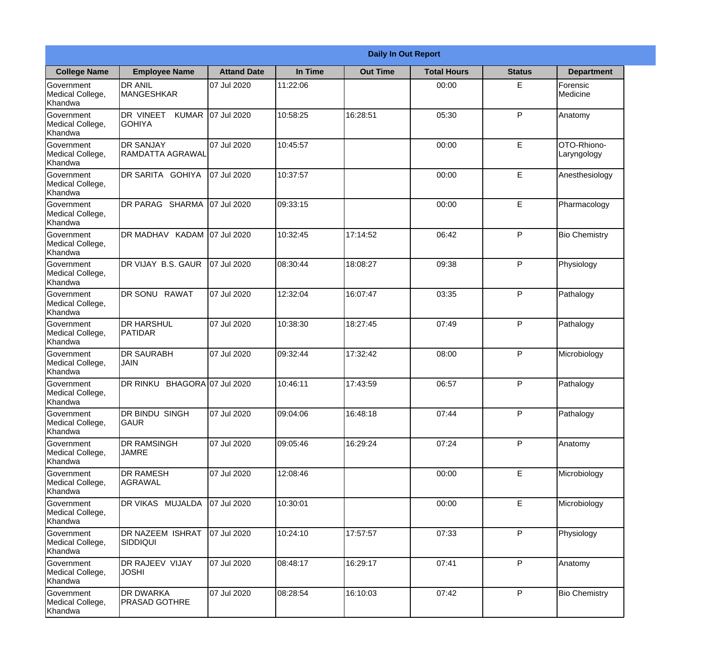|                                                  |                                          |                     |          | <b>Daily In Out Report</b> |                    |               |                            |
|--------------------------------------------------|------------------------------------------|---------------------|----------|----------------------------|--------------------|---------------|----------------------------|
| <b>College Name</b>                              | <b>Employee Name</b>                     | <b>Attand Date</b>  | In Time  | <b>Out Time</b>            | <b>Total Hours</b> | <b>Status</b> | <b>Department</b>          |
| Government<br>Medical College,<br>Khandwa        | <b>DR ANIL</b><br><b>MANGESHKAR</b>      | 07 Jul 2020         | 11:22:06 |                            | 00:00              | E             | Forensic<br>Medicine       |
| Government<br>Medical College,<br>Khandwa        | DR VINEET<br>KUMAR<br><b>GOHIYA</b>      | 07 Jul 2020         | 10:58:25 | 16:28:51                   | 05:30              | P             | Anatomy                    |
| Government<br>Medical College,<br>Khandwa        | <b>DR SANJAY</b><br>RAMDATTA AGRAWAL     | 07 Jul 2020         | 10:45:57 |                            | 00:00              | E             | OTO-Rhiono-<br>Laryngology |
| Government<br>Medical College,<br>Khandwa        | DR SARITA GOHIYA                         | 07 Jul 2020         | 10:37:57 |                            | 00:00              | E             | Anesthesiology             |
| Government<br>Medical College,<br>Khandwa        | DR PARAG SHARMA                          | 07 Jul 2020         | 09:33:15 |                            | 00:00              | E             | Pharmacology               |
| Government<br>Medical College,<br>Khandwa        | DR MADHAV KADAM 07 Jul 2020              |                     | 10:32:45 | 17:14:52                   | 06:42              | P             | <b>Bio Chemistry</b>       |
| <b>Government</b><br>Medical College,<br>Khandwa | DR VIJAY B.S. GAUR                       | 07 Jul 2020         | 08:30:44 | 18:08:27                   | 09:38              | P             | Physiology                 |
| Government<br>Medical College,<br>Khandwa        | DR SONU RAWAT                            | 07 Jul 2020         | 12:32:04 | 16:07:47                   | 03:35              | P             | Pathalogy                  |
| Government<br>Medical College,<br>Khandwa        | <b>DR HARSHUL</b><br><b>PATIDAR</b>      | 07 Jul 2020         | 10:38:30 | 18:27:45                   | 07:49              | P             | Pathalogy                  |
| Government<br>Medical College,<br>Khandwa        | <b>DR SAURABH</b><br><b>JAIN</b>         | 07 Jul 2020         | 09:32:44 | 17:32:42                   | 08:00              | P             | Microbiology               |
| Government<br>Medical College,<br>Khandwa        | DR RINKU                                 | BHAGORA 07 Jul 2020 | 10:46:11 | 17:43:59                   | 06:57              | P             | Pathalogy                  |
| Government<br>Medical College,<br>Khandwa        | DR BINDU SINGH<br><b>GAUR</b>            | 07 Jul 2020         | 09:04:06 | 16:48:18                   | 07:44              | P             | Pathalogy                  |
| Government<br>Medical College,<br>Khandwa        | <b>DR RAMSINGH</b><br><b>JAMRE</b>       | 07 Jul 2020         | 09:05:46 | 16:29:24                   | 07:24              | P             | Anatomy                    |
| Government<br>Medical College,<br>Khandwa        | <b>DR RAMESH</b><br>AGRAWAL              | 07 Jul 2020         | 12:08:46 |                            | 00:00              | E             | Microbiology               |
| Government<br>Medical College,<br>Khandwa        | <b>DR VIKAS MUJALDA</b>                  | 07 Jul 2020         | 10:30:01 |                            | 00:00              | $\mathsf E$   | Microbiology               |
| Government<br>Medical College,<br>Khandwa        | <b>DR NAZEEM ISHRAT</b><br>SIDDIQUI      | 07 Jul 2020         | 10:24:10 | 17:57:57                   | 07:33              | P             | Physiology                 |
| Government<br>Medical College,<br>Khandwa        | DR RAJEEV VIJAY<br><b>JOSHI</b>          | 07 Jul 2020         | 08:48:17 | 16:29:17                   | 07:41              | P             | Anatomy                    |
| Government<br>Medical College,<br>Khandwa        | <b>DR DWARKA</b><br><b>PRASAD GOTHRE</b> | 07 Jul 2020         | 08:28:54 | 16:10:03                   | 07:42              | P             | <b>Bio Chemistry</b>       |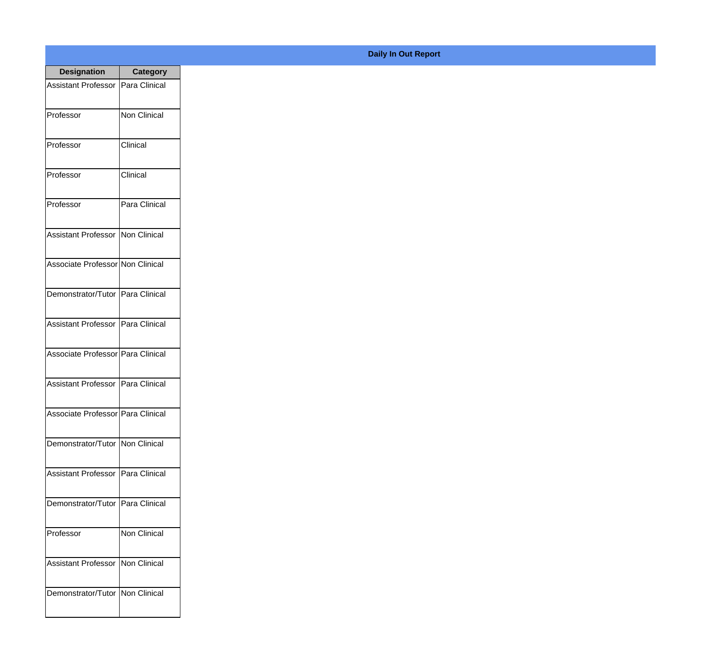| <b>Designation</b>                  | <b>Category</b>     |
|-------------------------------------|---------------------|
| Assistant Professor   Para Clinical |                     |
| Professor                           | Non Clinical        |
| Professor                           | Clinical            |
| Professor                           | Clinical            |
| Professor                           | Para Clinical       |
| Assistant Professor   Non Clinical  |                     |
| Associate Professor Non Clinical    |                     |
| Demonstrator/Tutor   Para Clinical  |                     |
| Assistant Professor   Para Clinical |                     |
| Associate Professor Para Clinical   |                     |
| <b>Assistant Professor</b>          | Para Clinical       |
| Associate Professor Para Clinical   |                     |
| Demonstrator/Tutor   Non Clinical   |                     |
| Assistant Professor   Para Clinical |                     |
| Demonstrator/Tutor   Para Clinical  |                     |
| Professor                           | <b>Non Clinical</b> |
| <b>Assistant Professor</b>          | Non Clinical        |
| Demonstrator/Tutor   Non Clinical   |                     |

## **Daily In Out Report**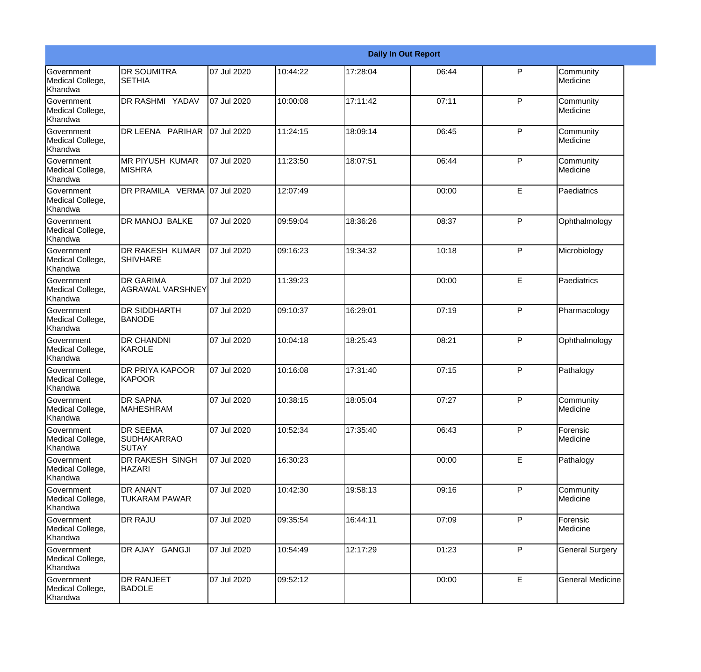|                                                  |                                                       |             |          |          | <b>Daily In Out Report</b> |              |                         |
|--------------------------------------------------|-------------------------------------------------------|-------------|----------|----------|----------------------------|--------------|-------------------------|
| <b>Government</b><br>Medical College,<br>Khandwa | <b>DR SOUMITRA</b><br><b>SETHIA</b>                   | 07 Jul 2020 | 10:44:22 | 17:28:04 | 06:44                      | $\mathsf{P}$ | Community<br>Medicine   |
| Government<br>Medical College,<br>Khandwa        | DR RASHMI YADAV                                       | 07 Jul 2020 | 10:00:08 | 17:11:42 | 07:11                      | P            | Community<br>Medicine   |
| <b>Government</b><br>Medical College,<br>Khandwa | DR LEENA PARIHAR                                      | 07 Jul 2020 | 11:24:15 | 18:09:14 | 06:45                      | P            | Community<br>Medicine   |
| <b>Government</b><br>Medical College,<br>Khandwa | <b>MR PIYUSH KUMAR</b><br><b>MISHRA</b>               | 07 Jul 2020 | 11:23:50 | 18:07:51 | 06:44                      | P            | Community<br>Medicine   |
| Government<br>Medical College,<br>Khandwa        | DR PRAMILA VERMA 07 Jul 2020                          |             | 12:07:49 |          | 00:00                      | E            | Paediatrics             |
| Government<br>Medical College,<br><b>Khandwa</b> | <b>DR MANOJ BALKE</b>                                 | 07 Jul 2020 | 09:59:04 | 18:36:26 | 08:37                      | P            | Ophthalmology           |
| <b>Government</b><br>Medical College,<br>Khandwa | <b>DR RAKESH KUMAR</b><br><b>SHIVHARE</b>             | 07 Jul 2020 | 09:16:23 | 19:34:32 | 10:18                      | P            | Microbiology            |
| <b>Government</b><br>Medical College,<br>Khandwa | <b>DR GARIMA</b><br><b>AGRAWAL VARSHNEY</b>           | 07 Jul 2020 | 11:39:23 |          | 00:00                      | E            | Paediatrics             |
| Government<br>Medical College,<br>Khandwa        | <b>DR SIDDHARTH</b><br><b>BANODE</b>                  | 07 Jul 2020 | 09:10:37 | 16:29:01 | 07:19                      | P            | Pharmacology            |
| <b>Government</b><br>Medical College,<br>Khandwa | <b>DR CHANDNI</b><br>KAROLE                           | 07 Jul 2020 | 10:04:18 | 18:25:43 | 08:21                      | P            | Ophthalmology           |
| <b>Government</b><br>Medical College,<br>Khandwa | <b>DR PRIYA KAPOOR</b><br>KAPOOR                      | 07 Jul 2020 | 10:16:08 | 17:31:40 | 07:15                      | P            | Pathalogy               |
| Government<br>Medical College,<br>Khandwa        | <b>DR SAPNA</b><br><b>MAHESHRAM</b>                   | 07 Jul 2020 | 10:38:15 | 18:05:04 | 07:27                      | P            | Community<br>Medicine   |
| Government<br>Medical College,<br>Khandwa        | <b>DR SEEMA</b><br><b>SUDHAKARRAO</b><br><b>SUTAY</b> | 07 Jul 2020 | 10:52:34 | 17:35:40 | 06:43                      | P            | Forensic<br>Medicine    |
| Government<br>Medical College,<br>Khandwa        | DR RAKESH SINGH<br><b>HAZARI</b>                      | 07 Jul 2020 | 16:30:23 |          | 00:00                      | E            | Pathalogy               |
| Government<br>Medical College,<br>Khandwa        | <b>DR ANANT</b><br><b>TUKARAM PAWAR</b>               | 07 Jul 2020 | 10:42:30 | 19:58:13 | 09:16                      | P            | Community<br>Medicine   |
| Government<br>Medical College,<br>Khandwa        | <b>DR RAJU</b>                                        | 07 Jul 2020 | 09:35:54 | 16:44:11 | 07:09                      | P            | Forensic<br>Medicine    |
| Government<br>Medical College,<br>Khandwa        | DR AJAY GANGJI                                        | 07 Jul 2020 | 10:54:49 | 12:17:29 | 01:23                      | $\mathsf{P}$ | <b>General Surgery</b>  |
| Government<br>Medical College,<br>Khandwa        | <b>DR RANJEET</b><br><b>BADOLE</b>                    | 07 Jul 2020 | 09:52:12 |          | 00:00                      | E            | <b>General Medicine</b> |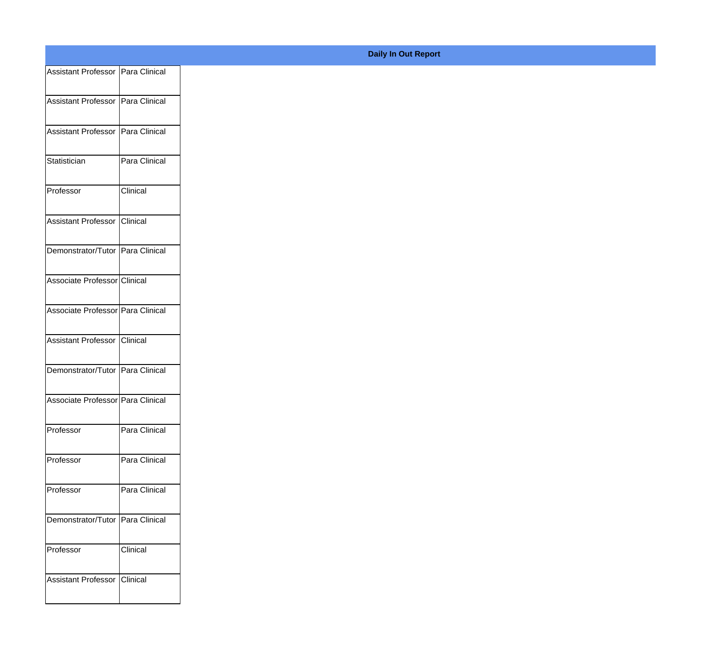| Assistant Professor Para Clinical   |                 |
|-------------------------------------|-----------------|
| Assistant Professor   Para Clinical |                 |
|                                     |                 |
| Assistant Professor Para Clinical   |                 |
| Statistician                        | Para Clinical   |
|                                     |                 |
| Professor                           | <b>Clinical</b> |
| Assistant Professor Clinical        |                 |
| Demonstrator/Tutor Para Clinical    |                 |
|                                     |                 |
| Associate Professor Clinical        |                 |
| Associate Professor Para Clinical   |                 |
|                                     |                 |
| Assistant Professor Clinical        |                 |
| Demonstrator/Tutor Para Clinical    |                 |
| Associate Professor Para Clinical   |                 |
|                                     |                 |
| Professor                           | Para Clinical   |
| Professor                           | Para Clinical   |
|                                     |                 |
| Professor                           | Para Clinical   |
| Demonstrator/Tutor Para Clinical    |                 |
| Professor                           | Clinical        |
|                                     |                 |
| Assistant Professor Clinical        |                 |
|                                     |                 |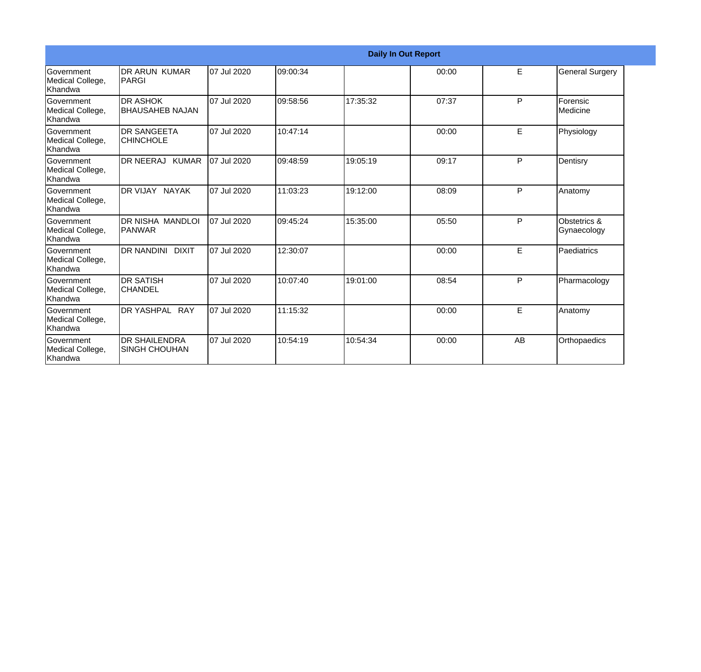|                                                  |                                              |             |          | <b>Daily In Out Report</b> |       |    |                             |
|--------------------------------------------------|----------------------------------------------|-------------|----------|----------------------------|-------|----|-----------------------------|
| Government<br>Medical College,<br>Khandwa        | IDR ARUN KUMAR<br>IPARGI                     | 07 Jul 2020 | 09:00:34 |                            | 00:00 | E  | <b>General Surgery</b>      |
| Government<br>Medical College,<br>Khandwa        | <b>DR ASHOK</b><br>BHAUSAHEB NAJAN           | 07 Jul 2020 | 09:58:56 | 17:35:32                   | 07:37 | P  | Forensic<br>Medicine        |
| Government<br>Medical College,<br>Khandwa        | <b>I</b> DR SANGEETA<br><b>CHINCHOLE</b>     | 07 Jul 2020 | 10:47:14 |                            | 00:00 | E  | Physiology                  |
| <b>Government</b><br>Medical College,<br>Khandwa | DR NEERAJ KUMAR                              | 07 Jul 2020 | 09:48:59 | 19:05:19                   | 09:17 | P  | Dentisry                    |
| Government<br>Medical College,<br>Khandwa        | <b>IDR VIJAY NAYAK</b>                       | 07 Jul 2020 | 11:03:23 | 19:12:00                   | 08:09 | P  | Anatomy                     |
| Government<br>Medical College,<br>Khandwa        | DR NISHA MANDLOI<br>IPANWAR                  | 07 Jul 2020 | 09:45:24 | 15:35:00                   | 05:50 | P  | Obstetrics &<br>Gynaecology |
| Government<br>Medical College,<br>Khandwa        | <b>IDR NANDINI DIXIT</b>                     | 07 Jul 2020 | 12:30:07 |                            | 00:00 | E  | Paediatrics                 |
| Government<br>Medical College,<br>Khandwa        | IDR SATISH<br><b>CHANDEL</b>                 | 07 Jul 2020 | 10:07:40 | 19:01:00                   | 08:54 | P  | Pharmacology                |
| Government<br>Medical College,<br>Khandwa        | DR YASHPAL RAY                               | 07 Jul 2020 | 11:15:32 |                            | 00:00 | E  | Anatomy                     |
| Government<br>Medical College,<br>Khandwa        | <b>DR SHAILENDRA</b><br><b>SINGH CHOUHAN</b> | 07 Jul 2020 | 10:54:19 | 10:54:34                   | 00:00 | AB | Orthopaedics                |